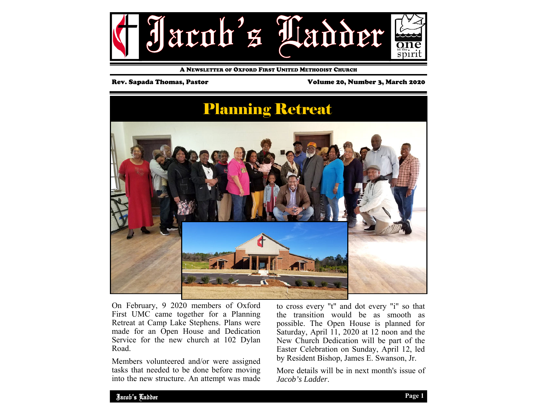

A NEWSLETTER OF OXFORD FIRST UNITED METHODIST CHURCH

Rev. Sapada Thomas, Pastor Volume 20, Number 3, March 2020

# Planning Retreat

On February, 9 2020 members of Oxford First UMC came together for a Planning Retreat at Camp Lake Stephens. Plans were made for an Open House and Dedication Service for the new church at 102 Dylan Road.

Members volunteered and/or were assigned tasks that needed to be done before moving into the new structure. An attempt was made to cross every "t" and dot every "i" so that the transition would be as smooth as possible. The Open House is planned for Saturday, April 11, 2020 at 12 noon and the New Church Dedication will be part of the Easter Celebration on Sunday, April 12, led by Resident Bishop, James E. Swanson, Jr.

More details will be in next month's issue of *Jacob's Ladder*.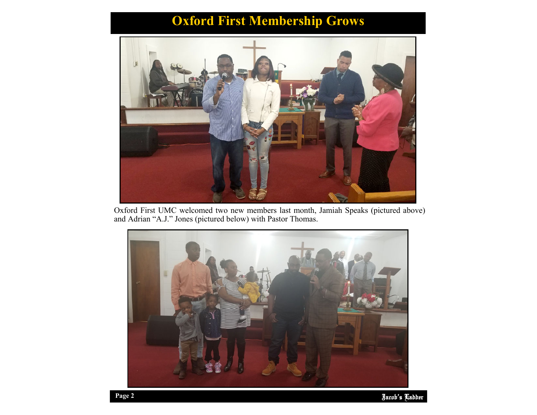# **Oxford First Membership Grows**



Oxford First UMC welcomed two new members last month, Jamiah Speaks (pictured above) and Adrian "A.J." Jones (pictured below) with Pastor Thomas.

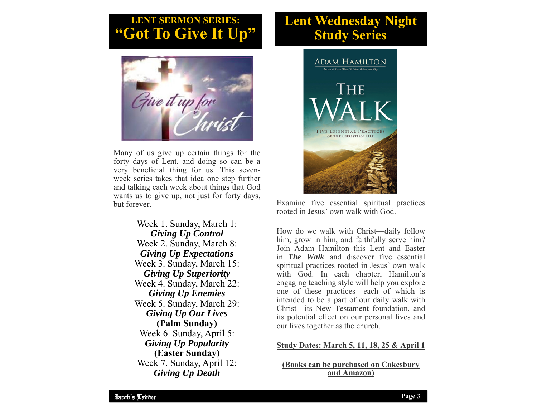# **LENT SERMON SERIES: EXAMPLE SERIES LENT SERIES:**<br> **"Got To Give It Up"** Study Series



Many of us give up certain things for the forty days of Lent, and doing so can be a very beneficial thing for us. This sevenweek series takes that idea one step further and talking each week about things that God wants us to give up, not just for forty days, but forever.

> Week 1. Sunday, March 1: *Giving Up Control*  Week 2. Sunday, March 8: *Giving Up Expectations*  Week 3. Sunday, March 15: *Giving Up Superiority*  Week 4. Sunday, March 22: *Giving Up Enemies*  Week 5. Sunday, March 29: *Giving Up Our Lives*  **(Palm Sunday)**  Week 6. Sunday, April 5: *Giving Up Popularity*  **(Easter Sunday)** Week 7. Sunday, April 12: *Giving Up Death*



Examine five essential spiritual practices rooted in Jesus' own walk with God.

How do we walk with Christ—daily follow him, grow in him, and faithfully serve him? Join Adam Hamilton this Lent and Easter in *The Walk* and discover five essential spiritual practices rooted in Jesus' own walk with God. In each chapter, Hamilton's engaging teaching style will help you explore one of these practices—each of which is intended to be a part of our daily walk with Christ—its New Testament foundation, and its potential effect on our personal lives and our lives together as the church.

## **Study Dates: March 5, 11, 18, 25 & April 1**

**(Books can be purchased on Cokesbury and Amazon)**